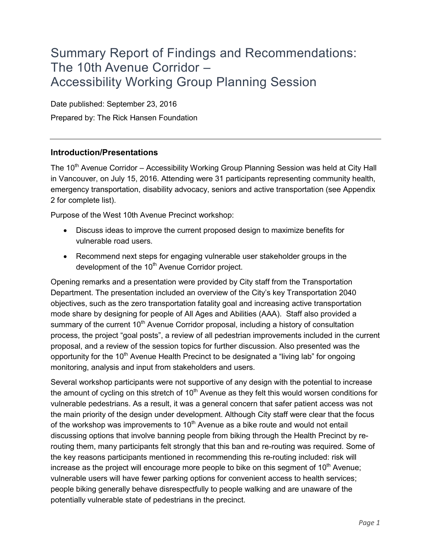# Summary Report of Findings and Recommendations: The 10th Avenue Corridor – Accessibility Working Group Planning Session

Date published: September 23, 2016 Prepared by: The Rick Hansen Foundation

## **Introduction/Presentations**

The 10<sup>th</sup> Avenue Corridor – Accessibility Working Group Planning Session was held at City Hall in Vancouver, on July 15, 2016. Attending were 31 participants representing community health, emergency transportation, disability advocacy, seniors and active transportation (see Appendix 2 for complete list).

Purpose of the West 10th Avenue Precinct workshop:

- Discuss ideas to improve the current proposed design to maximize benefits for vulnerable road users.
- Recommend next steps for engaging vulnerable user stakeholder groups in the development of the  $10<sup>th</sup>$  Avenue Corridor project.

Opening remarks and a presentation were provided by City staff from the Transportation Department. The presentation included an overview of the City's key Transportation 2040 objectives, such as the zero transportation fatality goal and increasing active transportation mode share by designing for people of All Ages and Abilities (AAA). Staff also provided a summary of the current  $10<sup>th</sup>$  Avenue Corridor proposal, including a history of consultation process, the project "goal posts", a review of all pedestrian improvements included in the current proposal, and a review of the session topics for further discussion. Also presented was the opportunity for the 10<sup>th</sup> Avenue Health Precinct to be designated a "living lab" for ongoing monitoring, analysis and input from stakeholders and users.

Several workshop participants were not supportive of any design with the potential to increase the amount of cycling on this stretch of  $10<sup>th</sup>$  Avenue as they felt this would worsen conditions for vulnerable pedestrians. As a result, it was a general concern that safer patient access was not the main priority of the design under development. Although City staff were clear that the focus of the workshop was improvements to  $10<sup>th</sup>$  Avenue as a bike route and would not entail discussing options that involve banning people from biking through the Health Precinct by rerouting them, many participants felt strongly that this ban and re-routing was required. Some of the key reasons participants mentioned in recommending this re-routing included: risk will increase as the project will encourage more people to bike on this segment of  $10<sup>th</sup>$  Avenue; vulnerable users will have fewer parking options for convenient access to health services; people biking generally behave disrespectfully to people walking and are unaware of the potentially vulnerable state of pedestrians in the precinct.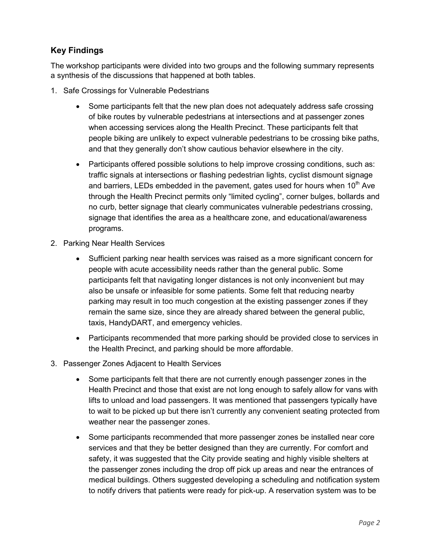# **Key Findings**

The workshop participants were divided into two groups and the following summary represents a synthesis of the discussions that happened at both tables.

- 1. Safe Crossings for Vulnerable Pedestrians
	- Some participants felt that the new plan does not adequately address safe crossing of bike routes by vulnerable pedestrians at intersections and at passenger zones when accessing services along the Health Precinct. These participants felt that people biking are unlikely to expect vulnerable pedestrians to be crossing bike paths, and that they generally don't show cautious behavior elsewhere in the city.
	- Participants offered possible solutions to help improve crossing conditions, such as: traffic signals at intersections or flashing pedestrian lights, cyclist dismount signage and barriers, LEDs embedded in the pavement, gates used for hours when  $10<sup>th</sup>$  Ave through the Health Precinct permits only "limited cycling", corner bulges, bollards and no curb, better signage that clearly communicates vulnerable pedestrians crossing, signage that identifies the area as a healthcare zone, and educational/awareness programs.
- 2. Parking Near Health Services
	- Sufficient parking near health services was raised as a more significant concern for people with acute accessibility needs rather than the general public. Some participants felt that navigating longer distances is not only inconvenient but may also be unsafe or infeasible for some patients. Some felt that reducing nearby parking may result in too much congestion at the existing passenger zones if they remain the same size, since they are already shared between the general public, taxis, HandyDART, and emergency vehicles.
	- Participants recommended that more parking should be provided close to services in the Health Precinct, and parking should be more affordable.
- 3. Passenger Zones Adjacent to Health Services
	- Some participants felt that there are not currently enough passenger zones in the Health Precinct and those that exist are not long enough to safely allow for vans with lifts to unload and load passengers. It was mentioned that passengers typically have to wait to be picked up but there isn't currently any convenient seating protected from weather near the passenger zones.
	- Some participants recommended that more passenger zones be installed near core services and that they be better designed than they are currently. For comfort and safety, it was suggested that the City provide seating and highly visible shelters at the passenger zones including the drop off pick up areas and near the entrances of medical buildings. Others suggested developing a scheduling and notification system to notify drivers that patients were ready for pick-up. A reservation system was to be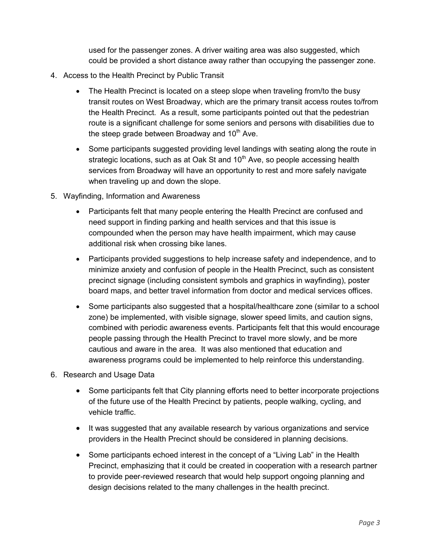used for the passenger zones. A driver waiting area was also suggested, which could be provided a short distance away rather than occupying the passenger zone.

- 4. Access to the Health Precinct by Public Transit
	- The Health Precinct is located on a steep slope when traveling from/to the busy transit routes on West Broadway, which are the primary transit access routes to/from the Health Precinct. As a result, some participants pointed out that the pedestrian route is a significant challenge for some seniors and persons with disabilities due to the steep grade between Broadway and  $10<sup>th</sup>$  Ave.
	- Some participants suggested providing level landings with seating along the route in strategic locations, such as at Oak St and  $10<sup>th</sup>$  Ave, so people accessing health services from Broadway will have an opportunity to rest and more safely navigate when traveling up and down the slope.
- 5. Wayfinding, Information and Awareness
	- Participants felt that many people entering the Health Precinct are confused and need support in finding parking and health services and that this issue is compounded when the person may have health impairment, which may cause additional risk when crossing bike lanes.
	- Participants provided suggestions to help increase safety and independence, and to minimize anxiety and confusion of people in the Health Precinct, such as consistent precinct signage (including consistent symbols and graphics in wayfinding), poster board maps, and better travel information from doctor and medical services offices.
	- Some participants also suggested that a hospital/healthcare zone (similar to a school zone) be implemented, with visible signage, slower speed limits, and caution signs, combined with periodic awareness events. Participants felt that this would encourage people passing through the Health Precinct to travel more slowly, and be more cautious and aware in the area. It was also mentioned that education and awareness programs could be implemented to help reinforce this understanding.
- 6. Research and Usage Data
	- Some participants felt that City planning efforts need to better incorporate projections of the future use of the Health Precinct by patients, people walking, cycling, and vehicle traffic.
	- It was suggested that any available research by various organizations and service providers in the Health Precinct should be considered in planning decisions.
	- Some participants echoed interest in the concept of a "Living Lab" in the Health Precinct, emphasizing that it could be created in cooperation with a research partner to provide peer-reviewed research that would help support ongoing planning and design decisions related to the many challenges in the health precinct.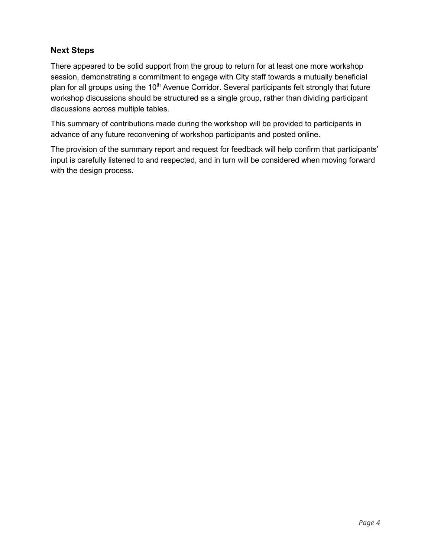# **Next Steps**

There appeared to be solid support from the group to return for at least one more workshop session, demonstrating a commitment to engage with City staff towards a mutually beneficial plan for all groups using the 10<sup>th</sup> Avenue Corridor. Several participants felt strongly that future workshop discussions should be structured as a single group, rather than dividing participant discussions across multiple tables.

This summary of contributions made during the workshop will be provided to participants in advance of any future reconvening of workshop participants and posted online.

The provision of the summary report and request for feedback will help confirm that participants' input is carefully listened to and respected, and in turn will be considered when moving forward with the design process.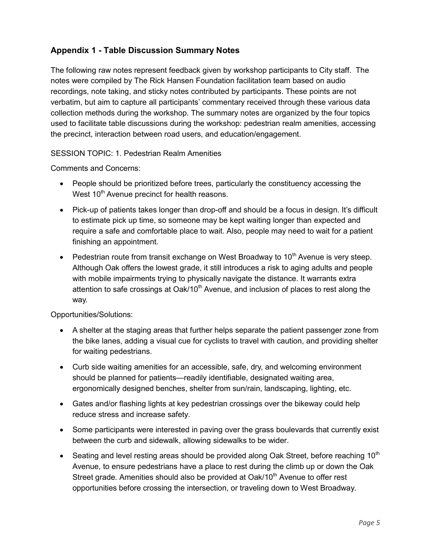# **Appendix 1 - Table Discussion Summary Notes**

The following raw notes represent feedback given by workshop participants to City staff. The notes were compiled by The Rick Hansen Foundation facilitation team based on audio recordings, note taking, and sticky notes contributed by participants. These points are not verbatim, but aim to capture all participants' commentary received through these various data collection methods during the workshop. The summary notes are organized by the four topics used to facilitate table discussions during the workshop: pedestrian realm amenities, accessing the precinct, interaction between road users, and education/engagement.

## SESSION TOPIC: 1. Pedestrian Realm Amenities

Comments and Concerns:

- People should be prioritized before trees, particularly the constituency accessing the West  $10<sup>th</sup>$  Avenue precinct for health reasons.
- Pick-up of patients takes longer than drop-off and should be a focus in design. It's difficult to estimate pick up time, so someone may be kept waiting longer than expected and require a safe and comfortable place to wait. Also, people may need to wait for a patient finishing an appointment.
- Pedestrian route from transit exchange on West Broadway to  $10<sup>th</sup>$  Avenue is very steep. Although Oak offers the lowest grade, it still introduces a risk to aging adults and people with mobile impairments trying to physically navigate the distance. It warrants extra attention to safe crossings at Oak/10<sup>th</sup> Avenue, and inclusion of places to rest along the way.

Opportunities/Solutions:

- A shelter at the staging areas that further helps separate the patient passenger zone from the bike lanes, adding a visual cue for cyclists to travel with caution, and providing shelter for waiting pedestrians.
- Curb side waiting amenities for an accessible, safe, dry, and welcoming environment should be planned for patients—readily identifiable, designated waiting area, ergonomically designed benches, shelter from sun/rain, landscaping, lighting, etc.
- Gates and/or flashing lights at key pedestrian crossings over the bikeway could help reduce stress and increase safety.
- Some participants were interested in paving over the grass boulevards that currently exist between the curb and sidewalk, allowing sidewalks to be wider.
- Seating and level resting areas should be provided along Oak Street, before reaching  $10<sup>th</sup>$ Avenue, to ensure pedestrians have a place to rest during the climb up or down the Oak Street grade. Amenities should also be provided at Oak/10<sup>th</sup> Avenue to offer rest opportunities before crossing the intersection, or traveling down to West Broadway.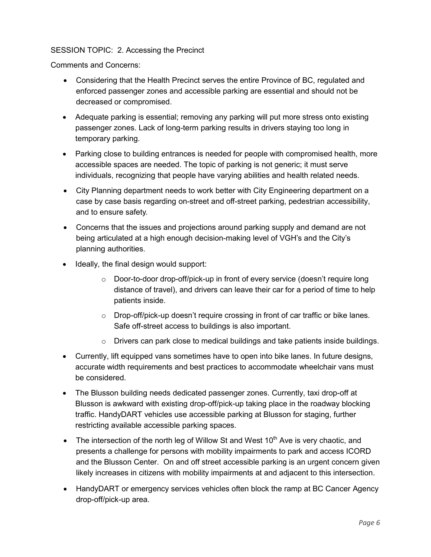## SESSION TOPIC: 2. Accessing the Precinct

Comments and Concerns:

- Considering that the Health Precinct serves the entire Province of BC, regulated and enforced passenger zones and accessible parking are essential and should not be decreased or compromised.
- Adequate parking is essential; removing any parking will put more stress onto existing passenger zones. Lack of long-term parking results in drivers staying too long in temporary parking.
- Parking close to building entrances is needed for people with compromised health, more accessible spaces are needed. The topic of parking is not generic; it must serve individuals, recognizing that people have varying abilities and health related needs.
- City Planning department needs to work better with City Engineering department on a case by case basis regarding on-street and off-street parking, pedestrian accessibility, and to ensure safety.
- Concerns that the issues and projections around parking supply and demand are not being articulated at a high enough decision-making level of VGH's and the City's planning authorities.
- Ideally, the final design would support:
	- $\circ$  Door-to-door drop-off/pick-up in front of every service (doesn't require long distance of travel), and drivers can leave their car for a period of time to help patients inside.
	- $\circ$  Drop-off/pick-up doesn't require crossing in front of car traffic or bike lanes. Safe off-street access to buildings is also important.
	- $\circ$  Drivers can park close to medical buildings and take patients inside buildings.
- Currently, lift equipped vans sometimes have to open into bike lanes. In future designs, accurate width requirements and best practices to accommodate wheelchair vans must be considered.
- The Blusson building needs dedicated passenger zones. Currently, taxi drop-off at Blusson is awkward with existing drop-off/pick-up taking place in the roadway blocking traffic. HandyDART vehicles use accessible parking at Blusson for staging, further restricting available accessible parking spaces.
- The intersection of the north leg of Willow St and West  $10<sup>th</sup>$  Ave is very chaotic, and presents a challenge for persons with mobility impairments to park and access ICORD and the Blusson Center. On and off street accessible parking is an urgent concern given likely increases in citizens with mobility impairments at and adjacent to this intersection.
- HandyDART or emergency services vehicles often block the ramp at BC Cancer Agency drop-off/pick-up area.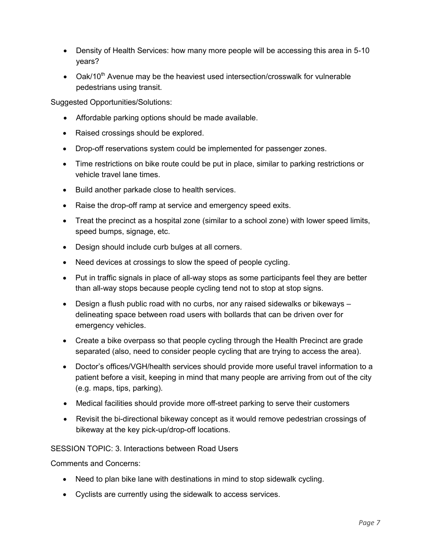- Density of Health Services: how many more people will be accessing this area in 5-10 years?
- Oak/10<sup>th</sup> Avenue may be the heaviest used intersection/crosswalk for vulnerable pedestrians using transit.

Suggested Opportunities/Solutions:

- Affordable parking options should be made available.
- Raised crossings should be explored.
- Drop-off reservations system could be implemented for passenger zones.
- Time restrictions on bike route could be put in place, similar to parking restrictions or vehicle travel lane times.
- Build another parkade close to health services.
- Raise the drop-off ramp at service and emergency speed exits.
- Treat the precinct as a hospital zone (similar to a school zone) with lower speed limits, speed bumps, signage, etc.
- Design should include curb bulges at all corners.
- Need devices at crossings to slow the speed of people cycling.
- Put in traffic signals in place of all-way stops as some participants feel they are better than all-way stops because people cycling tend not to stop at stop signs.
- Design a flush public road with no curbs, nor any raised sidewalks or bikeways delineating space between road users with bollards that can be driven over for emergency vehicles.
- Create a bike overpass so that people cycling through the Health Precinct are grade separated (also, need to consider people cycling that are trying to access the area).
- Doctor's offices/VGH/health services should provide more useful travel information to a patient before a visit, keeping in mind that many people are arriving from out of the city (e.g. maps, tips, parking).
- Medical facilities should provide more off-street parking to serve their customers
- Revisit the bi-directional bikeway concept as it would remove pedestrian crossings of bikeway at the key pick-up/drop-off locations.

SESSION TOPIC: 3. Interactions between Road Users

Comments and Concerns:

- Need to plan bike lane with destinations in mind to stop sidewalk cycling.
- Cyclists are currently using the sidewalk to access services.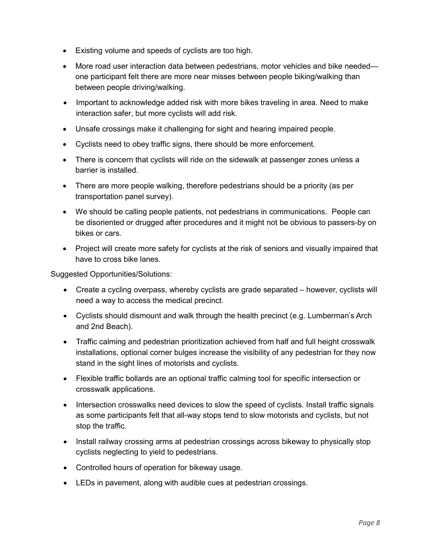- Existing volume and speeds of cyclists are too high.
- More road user interaction data between pedestrians, motor vehicles and bike needed one participant felt there are more near misses between people biking/walking than between people driving/walking.
- Important to acknowledge added risk with more bikes traveling in area. Need to make interaction safer, but more cyclists will add risk.
- Unsafe crossings make it challenging for sight and hearing impaired people.
- Cyclists need to obey traffic signs, there should be more enforcement.
- There is concern that cyclists will ride on the sidewalk at passenger zones unless a barrier is installed.
- There are more people walking, therefore pedestrians should be a priority (as per transportation panel survey).
- We should be calling people patients, not pedestrians in communications. People can be disoriented or drugged after procedures and it might not be obvious to passers-by on bikes or cars.
- Project will create more safety for cyclists at the risk of seniors and visually impaired that have to cross bike lanes.

Suggested Opportunities/Solutions:

- Create a cycling overpass, whereby cyclists are grade separated however, cyclists will need a way to access the medical precinct.
- Cyclists should dismount and walk through the health precinct (e.g. Lumberman's Arch and 2nd Beach).
- Traffic calming and pedestrian prioritization achieved from half and full height crosswalk installations, optional corner bulges increase the visibility of any pedestrian for they now stand in the sight lines of motorists and cyclists.
- Flexible traffic bollards are an optional traffic calming tool for specific intersection or crosswalk applications.
- Intersection crosswalks need devices to slow the speed of cyclists. Install traffic signals as some participants felt that all-way stops tend to slow motorists and cyclists, but not stop the traffic.
- Install railway crossing arms at pedestrian crossings across bikeway to physically stop cyclists neglecting to yield to pedestrians.
- Controlled hours of operation for bikeway usage.
- LEDs in pavement, along with audible cues at pedestrian crossings.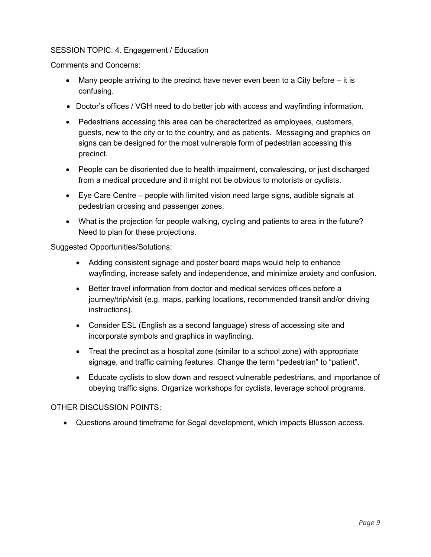## SESSION TOPIC: 4. Engagement / Education

Comments and Concerns:

- $\bullet$  Many people arriving to the precinct have never even been to a City before  $-$  it is confusing.
- Doctor's offices / VGH need to do better job with access and wayfinding information.
- Pedestrians accessing this area can be characterized as employees, customers, guests, new to the city or to the country, and as patients. Messaging and graphics on signs can be designed for the most vulnerable form of pedestrian accessing this precinct.
- People can be disoriented due to health impairment, convalescing, or just discharged from a medical procedure and it might not be obvious to motorists or cyclists.
- Eye Care Centre people with limited vision need large signs, audible signals at pedestrian crossing and passenger zones.
- What is the projection for people walking, cycling and patients to area in the future? Need to plan for these projections.

Suggested Opportunities/Solutions:

- Adding consistent signage and poster board maps would help to enhance wayfinding, increase safety and independence, and minimize anxiety and confusion.
- Better travel information from doctor and medical services offices before a journey/trip/visit (e.g. maps, parking locations, recommended transit and/or driving instructions).
- Consider ESL (English as a second language) stress of accessing site and incorporate symbols and graphics in wayfinding.
- Treat the precinct as a hospital zone (similar to a school zone) with appropriate signage, and traffic calming features. Change the term "pedestrian" to "patient".
- Educate cyclists to slow down and respect vulnerable pedestrians, and importance of obeying traffic signs. Organize workshops for cyclists, leverage school programs.

#### OTHER DISCUSSION POINTS:

Questions around timeframe for Segal development, which impacts Blusson access.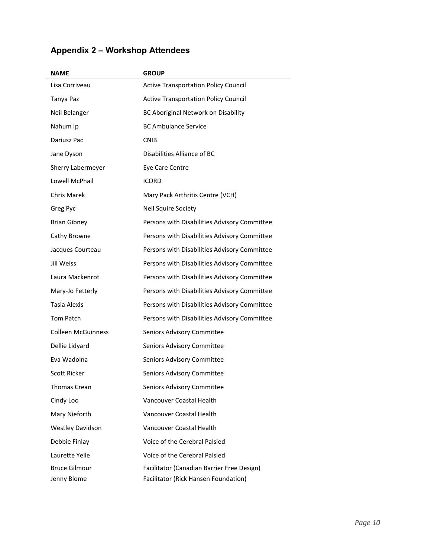|  | <b>Appendix 2 - Workshop Attendees</b> |  |
|--|----------------------------------------|--|
|--|----------------------------------------|--|

| <b>NAME</b>               | <b>GROUP</b>                                 |
|---------------------------|----------------------------------------------|
| Lisa Corriveau            | <b>Active Transportation Policy Council</b>  |
| Tanya Paz                 | <b>Active Transportation Policy Council</b>  |
| Neil Belanger             | BC Aboriginal Network on Disability          |
| Nahum Ip                  | <b>BC Ambulance Service</b>                  |
| Dariusz Pac               | <b>CNIB</b>                                  |
| Jane Dyson                | Disabilities Alliance of BC                  |
| Sherry Labermeyer         | Eye Care Centre                              |
| Lowell McPhail            | <b>ICORD</b>                                 |
| <b>Chris Marek</b>        | Mary Pack Arthritis Centre (VCH)             |
| Greg Pyc                  | Neil Squire Society                          |
| <b>Brian Gibney</b>       | Persons with Disabilities Advisory Committee |
| Cathy Browne              | Persons with Disabilities Advisory Committee |
| Jacques Courteau          | Persons with Disabilities Advisory Committee |
| Jill Weiss                | Persons with Disabilities Advisory Committee |
| Laura Mackenrot           | Persons with Disabilities Advisory Committee |
| Mary-Jo Fetterly          | Persons with Disabilities Advisory Committee |
| Tasia Alexis              | Persons with Disabilities Advisory Committee |
| <b>Tom Patch</b>          | Persons with Disabilities Advisory Committee |
| <b>Colleen McGuinness</b> | Seniors Advisory Committee                   |
| Dellie Lidyard            | Seniors Advisory Committee                   |
| Eva Wadolna               | Seniors Advisory Committee                   |
| Scott Ricker              | Seniors Advisory Committee                   |
| Thomas Crean              | Seniors Advisory Committee                   |
| Cindy Loo                 | Vancouver Coastal Health                     |
| Mary Nieforth             | Vancouver Coastal Health                     |
| <b>Westley Davidson</b>   | Vancouver Coastal Health                     |
| Debbie Finlay             | Voice of the Cerebral Palsied                |
| Laurette Yelle            | Voice of the Cerebral Palsied                |
| <b>Bruce Gilmour</b>      | Facilitator (Canadian Barrier Free Design)   |
| Jenny Blome               | Facilitator (Rick Hansen Foundation)         |